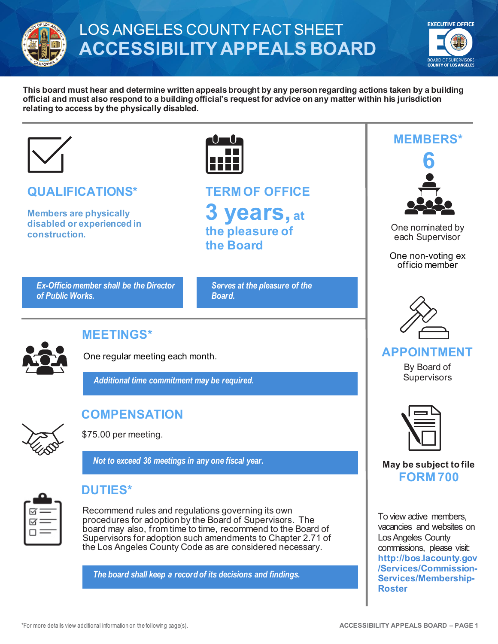

# LOS ANGELES COUNTY FACT SHEET **ACCESSIBILITY APPEALS BOARD**



**This board must hear and determine written appeals brought by any person regarding actions taken by a building official and must also respond to a building official's request for advice on any matter within his jurisdiction relating to access by the physically disabled.**



## **QUALIFICATIONS\***

**Members are physically disabled or experienced in construction.**

*Ex-Officio member shall be the Director of Public Works.*

**TERM OF OFFICE 3 years, at the pleasure of the Board**

*Serves at the pleasure of the Board.*



## **MEETINGS\***

One regular meeting each month.

*Additional time commitment may be required.*



## **COMPENSATION**

\$75.00 per meeting.

*Not to exceed 36 meetings in any one fiscal year.*



## **DUTIES\***

Recommend rules and regulations governing its own procedures for adoption by the Board of Supervisors. The board may also, from time to time, recommend to the Board of Supervisors for adoption such amendments to Chapter 2.71 of the Los Angeles County Code as are considered necessary.

*The board shall keep a record of its decisions and findings.*





One nominated by each Supervisor

One non-voting ex officio member



#### **APPOINTMENT**

By Board of **Supervisors** 



**May be subject to file FORM 700**

To view active members, vacancies and websites on Los Angeles County commissions, please visit: **[http://bos.lacounty.gov](http://bos.lacounty.gov/Services/Commission-Services/Membership-Roster) [/Services/Commission-](http://bos.lacounty.gov/Services/Commission-Services/Membership-Roster)[Services/Membership-](http://bos.lacounty.gov/Services/Commission-Services/Membership-Roster)[Roster](http://bos.lacounty.gov/Services/Commission-Services/Membership-Roster)**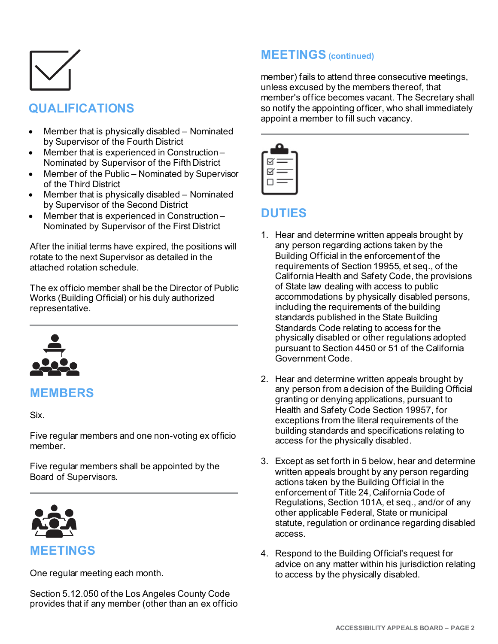

## **QUALIFICATIONS**

- Member that is physically disabled Nominated by Supervisor of the Fourth District
- Member that is experienced in Construction Nominated by Supervisor of the Fifth District
- Member of the Public Nominated by Supervisor of the Third District
- Member that is physically disabled Nominated by Supervisor of the Second District
- Member that is experienced in Construction Nominated by Supervisor of the First District

After the initial terms have expired, the positions will rotate to the next Supervisor as detailed in the attached rotation schedule.

The ex officio member shall be the Director of Public Works (Building Official) or his duly authorized representative.



#### **MEMBERS**

Six.

Five regular members and one non-voting ex officio member.

Five regular members shall be appointed by the Board of Supervisors.



One regular meeting each month.

Section 5.12.050 of the Los Angeles County Code provides that if any member (other than an ex officio

## **MEETINGS (continued)**

member) fails to attend three consecutive meetings, unless excused by the members thereof, that member's office becomes vacant. The Secretary shall so notify the appointing officer, who shall immediately appoint a member to fill such vacancy.



### **DUTIES**

- 1. Hear and determine written appeals brought by any person regarding actions taken by the Building Official in the enforcement of the requirements of Section 19955, et seq., of the California Health and Safety Code, the provisions of State law dealing with access to public accommodations by physically disabled persons, including the requirements of the building standards published in the State Building Standards Code relating to access for the physically disabled or other regulations adopted pursuant to Section 4450 or 51 of the California Government Code.
- 2. Hear and determine written appeals brought by any person from a decision of the Building Official granting or denying applications, pursuant to Health and Safety Code Section 19957, for exceptions from the literal requirements of the building standards and specifications relating to access for the physically disabled.
- 3. Except as set forth in 5 below, hear and determine written appeals brought by any person regarding actions taken by the Building Official in the enforcement of Title 24, California Code of Regulations, Section 101A, et seq., and/or of any other applicable Federal, State or municipal statute, regulation or ordinance regarding disabled access.
- 4. Respond to the Building Official's request for advice on any matter within his jurisdiction relating to access by the physically disabled.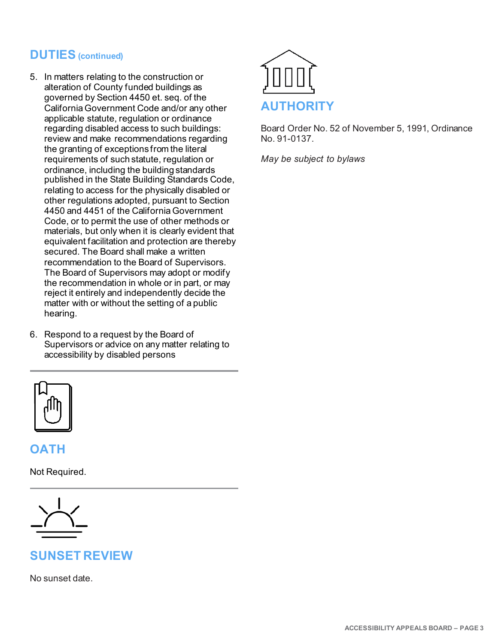## **DUTIES (continued)**

- 5. In matters relating to the construction or alteration of County funded buildings as governed by Section 4450 et. seq. of the California Government Code and/or any other applicable statute, regulation or ordinance regarding disabled access to such buildings: review and make recommendations regarding the granting of exceptions from the literal requirements of such statute, regulation or ordinance, including the building standards published in the State Building Standards Code, relating to access for the physically disabled or other regulations adopted, pursuant to Section 4450 and 4451 of the California Government Code, or to permit the use of other methods or materials, but only when it is clearly evident that equivalent facilitation and protection are thereby secured. The Board shall make a written recommendation to the Board of Supervisors. The Board of Supervisors may adopt or modify the recommendation in whole or in part, or may reject it entirely and independently decide the matter with or without the setting of a public hearing.
- 6. Respond to a request by the Board of Supervisors or advice on any matter relating to accessibility by disabled persons



### **OATH**

Not Required.



## **SUNSET REVIEW**

No sunset date.



Board Order No. 52 of November 5, 1991, Ordinance No. 91-0137.

*May be subject to bylaws*